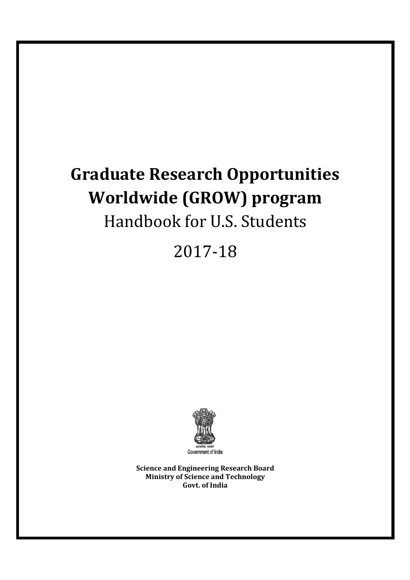# Graduate Research Opportunities Worldwide (GROW) program Handbook for U.S. Students

2017-18



Science and Engineering Research Board Ministry of Science and Technology Govt. of India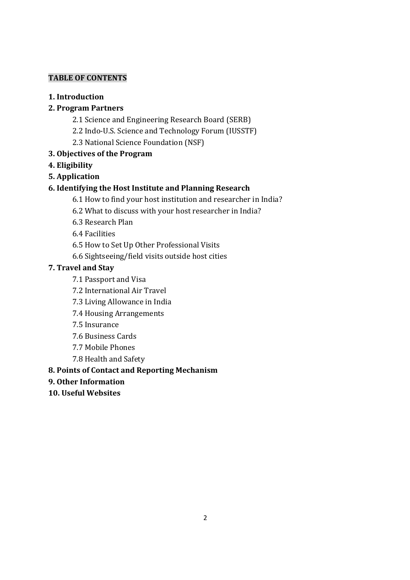# TABLE OF CONTENTS

1. Introduction

# 2. Program Partners

- 2.1 Science and Engineering Research Board (SERB)
- 2.2 Indo-U.S. Science and Technology Forum (IUSSTF)
- 2.3 National Science Foundation (NSF)
- 3. Objectives of the Program
- 4. Eligibility
- 5. Application

# 6. Identifying the Host Institute and Planning Research

- 6.1 How to find your host institution and researcher in India?
- 6.2 What to discuss with your host researcher in India?
- 6.3 Research Plan
- 6.4 Facilities
- 6.5 How to Set Up Other Professional Visits
- 6.6 Sightseeing/field visits outside host cities

# 7. Travel and Stay

- 7.1 Passport and Visa
- 7.2 International Air Travel
- 7.3 Living Allowance in India
- 7.4 Housing Arrangements
- 7.5 Insurance
- 7.6 Business Cards
- 7.7 Mobile Phones
- 7.8 Health and Safety

# 8. Points of Contact and Reporting Mechanism

- 9. Other Information
- 10. Useful Websites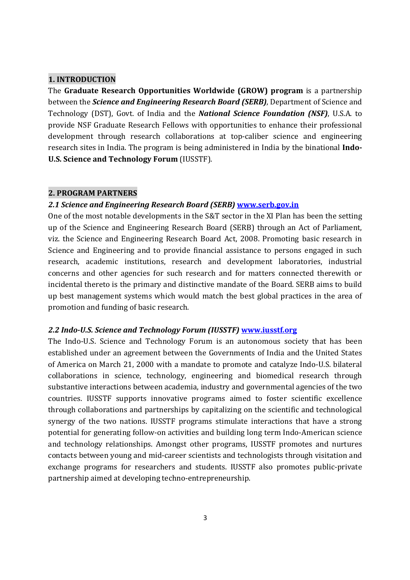#### 1. INTRODUCTION

The Graduate Research Opportunities Worldwide (GROW) program is a partnership between the *Science and Engineering Research Board (SERB)*, Department of Science and Technology (DST), Govt. of India and the National Science Foundation (NSF), U.S.A. to provide NSF Graduate Research Fellows with opportunities to enhance their professional development through research collaborations at top-caliber science and engineering research sites in India. The program is being administered in India by the binational Indo-U.S. Science and Technology Forum (IUSSTF).

#### 2. PROGRAM PARTNERS

#### 2.1 Science and Engineering Research Board (SERB) www.serb.gov.in

One of the most notable developments in the S&T sector in the XI Plan has been the setting up of the Science and Engineering Research Board (SERB) through an Act of Parliament, viz. the Science and Engineering Research Board Act, 2008. Promoting basic research in Science and Engineering and to provide financial assistance to persons engaged in such research, academic institutions, research and development laboratories, industrial concerns and other agencies for such research and for matters connected therewith or incidental thereto is the primary and distinctive mandate of the Board. SERB aims to build up best management systems which would match the best global practices in the area of promotion and funding of basic research.

#### 2.2 Indo-U.S. Science and Technology Forum (IUSSTF) www.iusstf.org

The Indo-U.S. Science and Technology Forum is an autonomous society that has been established under an agreement between the Governments of India and the United States of America on March 21, 2000 with a mandate to promote and catalyze Indo-U.S. bilateral collaborations in science, technology, engineering and biomedical research through substantive interactions between academia, industry and governmental agencies of the two countries. IUSSTF supports innovative programs aimed to foster scientific excellence through collaborations and partnerships by capitalizing on the scientific and technological synergy of the two nations. IUSSTF programs stimulate interactions that have a strong potential for generating follow-on activities and building long term Indo-American science and technology relationships. Amongst other programs, IUSSTF promotes and nurtures contacts between young and mid-career scientists and technologists through visitation and exchange programs for researchers and students. IUSSTF also promotes public-private partnership aimed at developing techno-entrepreneurship.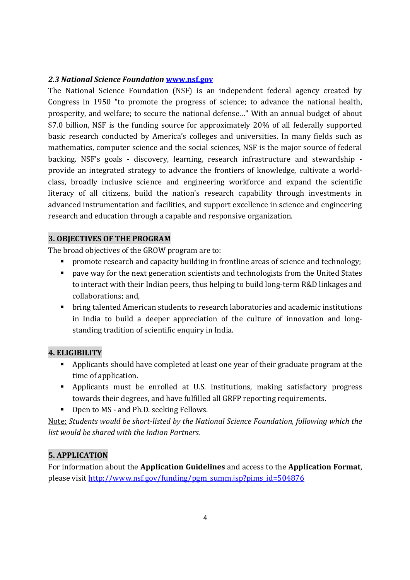## 2.3 National Science Foundation www.nsf.gov

The National Science Foundation (NSF) is an independent federal agency created by Congress in 1950 "to promote the progress of science; to advance the national health, prosperity, and welfare; to secure the national defense…" With an annual budget of about \$7.0 billion, NSF is the funding source for approximately 20% of all federally supported basic research conducted by America's colleges and universities. In many fields such as mathematics, computer science and the social sciences, NSF is the major source of federal backing. NSF's goals - discovery, learning, research infrastructure and stewardship provide an integrated strategy to advance the frontiers of knowledge, cultivate a worldclass, broadly inclusive science and engineering workforce and expand the scientific literacy of all citizens, build the nation's research capability through investments in advanced instrumentation and facilities, and support excellence in science and engineering research and education through a capable and responsive organization.

#### 3. OBJECTIVES OF THE PROGRAM

The broad objectives of the GROW program are to:

- **•** promote research and capacity building in frontline areas of science and technology;
- **Perm** pave way for the next generation scientists and technologists from the United States to interact with their Indian peers, thus helping to build long-term R&D linkages and collaborations; and,
- bring talented American students to research laboratories and academic institutions in India to build a deeper appreciation of the culture of innovation and longstanding tradition of scientific enquiry in India.

# 4. ELIGIBILITY

- Applicants should have completed at least one year of their graduate program at the time of application.
- Applicants must be enrolled at U.S. institutions, making satisfactory progress towards their degrees, and have fulfilled all GRFP reporting requirements.
- Open to MS and Ph.D. seeking Fellows.

Note: Students would be short-listed by the National Science Foundation, following which the list would be shared with the Indian Partners.

# 5. APPLICATION

For information about the Application Guidelines and access to the Application Format, please visit http://www.nsf.gov/funding/pgm\_summ.jsp?pims\_id=504876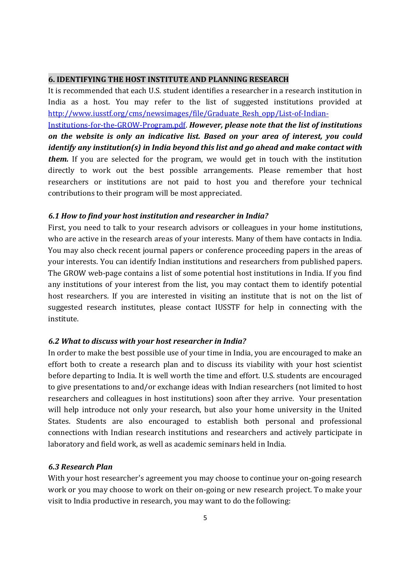#### 6. IDENTIFYING THE HOST INSTITUTE AND PLANNING RESEARCH

It is recommended that each U.S. student identifies a researcher in a research institution in India as a host. You may refer to the list of suggested institutions provided at http://www.iusstf.org/cms/newsimages/file/Graduate\_Resh\_opp/List-of-Indian-Institutions-for-the-GROW-Program.pdf. However, please note that the list of institutions on the website is only an indicative list. Based on your area of interest, you could identify any institution(s) in India beyond this list and go ahead and make contact with them. If you are selected for the program, we would get in touch with the institution directly to work out the best possible arrangements. Please remember that host researchers or institutions are not paid to host you and therefore your technical contributions to their program will be most appreciated.

#### 6.1 How to find your host institution and researcher in India?

First, you need to talk to your research advisors or colleagues in your home institutions, who are active in the research areas of your interests. Many of them have contacts in India. You may also check recent journal papers or conference proceeding papers in the areas of your interests. You can identify Indian institutions and researchers from published papers. The GROW web-page contains a list of some potential host institutions in India. If you find any institutions of your interest from the list, you may contact them to identify potential host researchers. If you are interested in visiting an institute that is not on the list of suggested research institutes, please contact IUSSTF for help in connecting with the institute.

#### 6.2 What to discuss with your host researcher in India?

In order to make the best possible use of your time in India, you are encouraged to make an effort both to create a research plan and to discuss its viability with your host scientist before departing to India. It is well worth the time and effort. U.S. students are encouraged to give presentations to and/or exchange ideas with Indian researchers (not limited to host researchers and colleagues in host institutions) soon after they arrive. Your presentation will help introduce not only your research, but also your home university in the United States. Students are also encouraged to establish both personal and professional connections with Indian research institutions and researchers and actively participate in laboratory and field work, as well as academic seminars held in India.

## 6.3 Research Plan

With your host researcher's agreement you may choose to continue your on-going research work or you may choose to work on their on-going or new research project. To make your visit to India productive in research, you may want to do the following: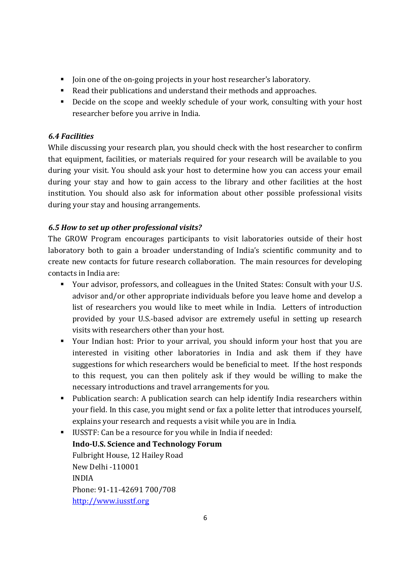- I Join one of the on-going projects in your host researcher's laboratory.
- Read their publications and understand their methods and approaches.
- Decide on the scope and weekly schedule of your work, consulting with your host researcher before you arrive in India.

# 6.4 Facilities

While discussing your research plan, you should check with the host researcher to confirm that equipment, facilities, or materials required for your research will be available to you during your visit. You should ask your host to determine how you can access your email during your stay and how to gain access to the library and other facilities at the host institution. You should also ask for information about other possible professional visits during your stay and housing arrangements.

# 6.5 How to set up other professional visits?

The GROW Program encourages participants to visit laboratories outside of their host laboratory both to gain a broader understanding of India's scientific community and to create new contacts for future research collaboration. The main resources for developing contacts in India are:

- Your advisor, professors, and colleagues in the United States: Consult with your U.S. advisor and/or other appropriate individuals before you leave home and develop a list of researchers you would like to meet while in India. Letters of introduction provided by your U.S.-based advisor are extremely useful in setting up research visits with researchers other than your host.
- Your Indian host: Prior to your arrival, you should inform your host that you are interested in visiting other laboratories in India and ask them if they have suggestions for which researchers would be beneficial to meet. If the host responds to this request, you can then politely ask if they would be willing to make the necessary introductions and travel arrangements for you.
- Publication search: A publication search can help identify India researchers within your field. In this case, you might send or fax a polite letter that introduces yourself, explains your research and requests a visit while you are in India.
- IUSSTF: Can be a resource for you while in India if needed: Indo-U.S. Science and Technology Forum Fulbright House, 12 Hailey Road New Delhi -110001 INDIA Phone: 91-11-42691 700/708 http://www.iusstf.org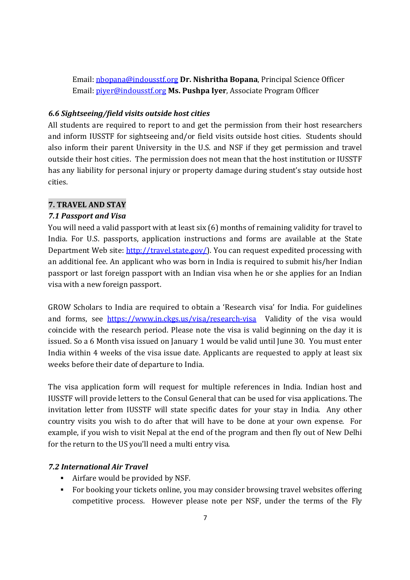Email: nbopana@indousstf.org Dr. Nishritha Bopana, Principal Science Officer Email: *piyer@indousstf.org Ms. Pushpa Iyer*, Associate Program Officer

### 6.6 Sightseeing/field visits outside host cities

All students are required to report to and get the permission from their host researchers and inform IUSSTF for sightseeing and/or field visits outside host cities. Students should also inform their parent University in the U.S. and NSF if they get permission and travel outside their host cities. The permission does not mean that the host institution or IUSSTF has any liability for personal injury or property damage during student's stay outside host cities.

## 7. TRAVEL AND STAY

## 7.1 Passport and Visa

You will need a valid passport with at least six (6) months of remaining validity for travel to India. For U.S. passports, application instructions and forms are available at the State Department Web site: http://travel.state.gov/). You can request expedited processing with an additional fee. An applicant who was born in India is required to submit his/her Indian passport or last foreign passport with an Indian visa when he or she applies for an Indian visa with a new foreign passport.

GROW Scholars to India are required to obtain a 'Research visa' for India. For guidelines and forms, see https://www.in.ckgs.us/visa/research-visa Validity of the visa would coincide with the research period. Please note the visa is valid beginning on the day it is issued. So a 6 Month visa issued on January 1 would be valid until June 30. You must enter India within 4 weeks of the visa issue date. Applicants are requested to apply at least six weeks before their date of departure to India.

The visa application form will request for multiple references in India. Indian host and IUSSTF will provide letters to the Consul General that can be used for visa applications. The invitation letter from IUSSTF will state specific dates for your stay in India. Any other country visits you wish to do after that will have to be done at your own expense. For example, if you wish to visit Nepal at the end of the program and then fly out of New Delhi for the return to the US you'll need a multi entry visa.

# 7.2 International Air Travel

- Airfare would be provided by NSF.
- For booking your tickets online, you may consider browsing travel websites offering competitive process. However please note per NSF, under the terms of the Fly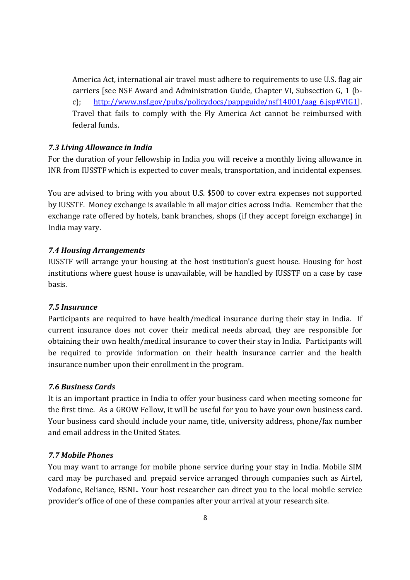America Act, international air travel must adhere to requirements to use U.S. flag air carriers [see NSF Award and Administration Guide, Chapter VI, Subsection G, 1 (bc); http://www.nsf.gov/pubs/policydocs/pappguide/nsf14001/aag\_6.jsp#VIG1]. Travel that fails to comply with the Fly America Act cannot be reimbursed with federal funds.

#### 7.3 Living Allowance in India

For the duration of your fellowship in India you will receive a monthly living allowance in INR from IUSSTF which is expected to cover meals, transportation, and incidental expenses.

You are advised to bring with you about U.S. \$500 to cover extra expenses not supported by IUSSTF. Money exchange is available in all major cities across India. Remember that the exchange rate offered by hotels, bank branches, shops (if they accept foreign exchange) in India may vary.

#### 7.4 Housing Arrangements

IUSSTF will arrange your housing at the host institution's guest house. Housing for host institutions where guest house is unavailable, will be handled by IUSSTF on a case by case basis.

#### 7.5 Insurance

Participants are required to have health/medical insurance during their stay in India. If current insurance does not cover their medical needs abroad, they are responsible for obtaining their own health/medical insurance to cover their stay in India. Participants will be required to provide information on their health insurance carrier and the health insurance number upon their enrollment in the program.

# 7.6 Business Cards

It is an important practice in India to offer your business card when meeting someone for the first time. As a GROW Fellow, it will be useful for you to have your own business card. Your business card should include your name, title, university address, phone/fax number and email address in the United States.

# 7.7 Mobile Phones

You may want to arrange for mobile phone service during your stay in India. Mobile SIM card may be purchased and prepaid service arranged through companies such as Airtel, Vodafone, Reliance, BSNL. Your host researcher can direct you to the local mobile service provider's office of one of these companies after your arrival at your research site.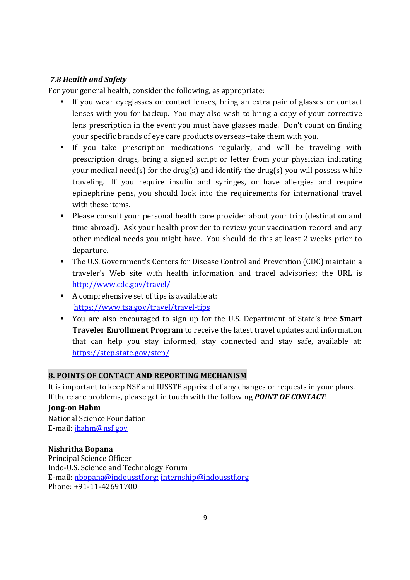# 7.8 Health and Safety

For your general health, consider the following, as appropriate:

- If you wear eyeglasses or contact lenses, bring an extra pair of glasses or contact lenses with you for backup. You may also wish to bring a copy of your corrective lens prescription in the event you must have glasses made. Don't count on finding your specific brands of eye care products overseas--take them with you.
- If you take prescription medications regularly, and will be traveling with prescription drugs, bring a signed script or letter from your physician indicating your medical need(s) for the drug(s) and identify the drug(s) you will possess while traveling. If you require insulin and syringes, or have allergies and require epinephrine pens, you should look into the requirements for international travel with these items.
- Please consult your personal health care provider about your trip (destination and time abroad). Ask your health provider to review your vaccination record and any other medical needs you might have. You should do this at least 2 weeks prior to departure.
- The U.S. Government's Centers for Disease Control and Prevention (CDC) maintain a traveler's Web site with health information and travel advisories; the URL is http://www.cdc.gov/travel/
- A comprehensive set of tips is available at: https://www.tsa.gov/travel/travel-tips
- You are also encouraged to sign up for the U.S. Department of State's free **Smart** Traveler Enrollment Program to receive the latest travel updates and information that can help you stay informed, stay connected and stay safe, available at: https://step.state.gov/step/

# 8. POINTS OF CONTACT AND REPORTING MECHANISM

It is important to keep NSF and IUSSTF apprised of any changes or requests in your plans. If there are problems, please get in touch with the following **POINT OF CONTACT**:

# Jong-on Hahm

National Science Foundation E-mail: jhahm@nsf.gov

# Nishritha Bopana

Principal Science Officer Indo-U.S. Science and Technology Forum E-mail: nbopana@indousstf.org; internship@indousstf.org Phone: +91-11-42691700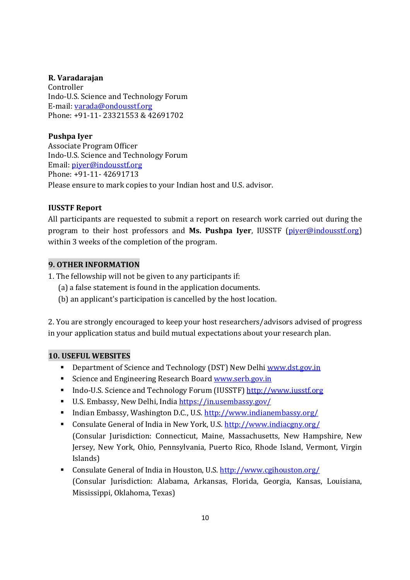## R. Varadarajan

Controller Indo-U.S. Science and Technology Forum E-mail: varada@ondousstf.org Phone: +91-11- 23321553 & 42691702

Pushpa Iyer Associate Program Officer Indo-U.S. Science and Technology Forum Email: piyer@indousstf.org Phone: +91-11- 42691713 Please ensure to mark copies to your Indian host and U.S. advisor.

# IUSSTF Report

All participants are requested to submit a report on research work carried out during the program to their host professors and Ms. Pushpa Iyer, IUSSTF (piver@indousstf.org) within 3 weeks of the completion of the program.

# 9. OTHER INFORMATION

1. The fellowship will not be given to any participants if:

- (a) a false statement is found in the application documents.
- (b) an applicant's participation is cancelled by the host location.

2. You are strongly encouraged to keep your host researchers/advisors advised of progress in your application status and build mutual expectations about your research plan.

# 10. USEFUL WEBSITES

- Department of Science and Technology (DST) New Delhi www.dst.gov.in
- Science and Engineering Research Board www.serb.gov.in
- Indo-U.S. Science and Technology Forum (IUSSTF) http://www.iusstf.org
- U.S. Embassy, New Delhi, India https://in.usembassy.gov/
- Indian Embassy, Washington D.C., U.S. http://www.indianembassy.org/
- Consulate General of India in New York, U.S. http://www.indiacgny.org/ (Consular Jurisdiction: Connecticut, Maine, Massachusetts, New Hampshire, New Jersey, New York, Ohio, Pennsylvania, Puerto Rico, Rhode Island, Vermont, Virgin Islands)
- Consulate General of India in Houston, U.S. http://www.cgihouston.org/ (Consular Jurisdiction: Alabama, Arkansas, Florida, Georgia, Kansas, Louisiana, Mississippi, Oklahoma, Texas)